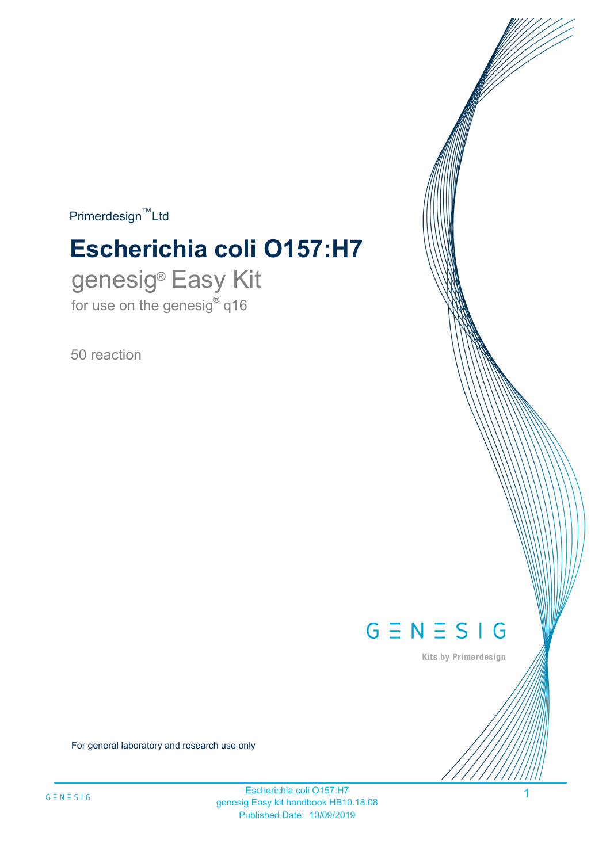### $Primerdesign^{\text{TM}}Ltd$

# **Escherichia coli O157:H7**

genesig® Easy Kit for use on the genesig $^{\circ}$  q16

50 reaction

# $G \equiv N \equiv S \mid G$

Kits by Primerdesign

1

For general laboratory and research use only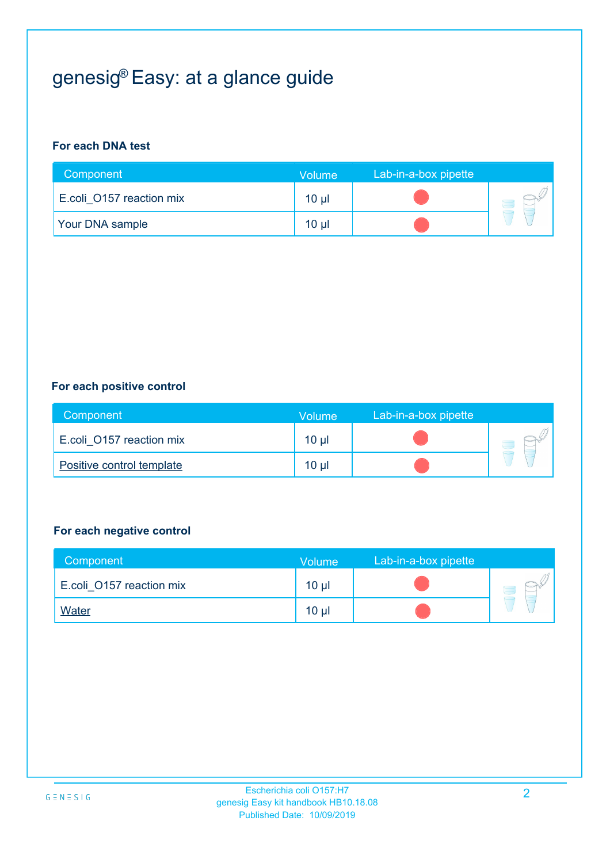# genesig® Easy: at a glance guide

#### **For each DNA test**

| Component                | Volume          | Lab-in-a-box pipette |  |
|--------------------------|-----------------|----------------------|--|
| E.coli O157 reaction mix | 10 <sub>µ</sub> |                      |  |
| <b>Your DNA sample</b>   | 10 <sub>µ</sub> |                      |  |

#### **For each positive control**

| Component                 | Volume          | Lab-in-a-box pipette |  |
|---------------------------|-----------------|----------------------|--|
| E.coli O157 reaction mix  | 10 <sub>µ</sub> |                      |  |
| Positive control template | $10 \mu$        |                      |  |

#### **For each negative control**

| Component                | <b>Volume</b>   | Lab-in-a-box pipette |  |
|--------------------------|-----------------|----------------------|--|
| E.coli O157 reaction mix | 10 <sub>µ</sub> |                      |  |
| <b>Water</b>             | 10 <sub>µ</sub> |                      |  |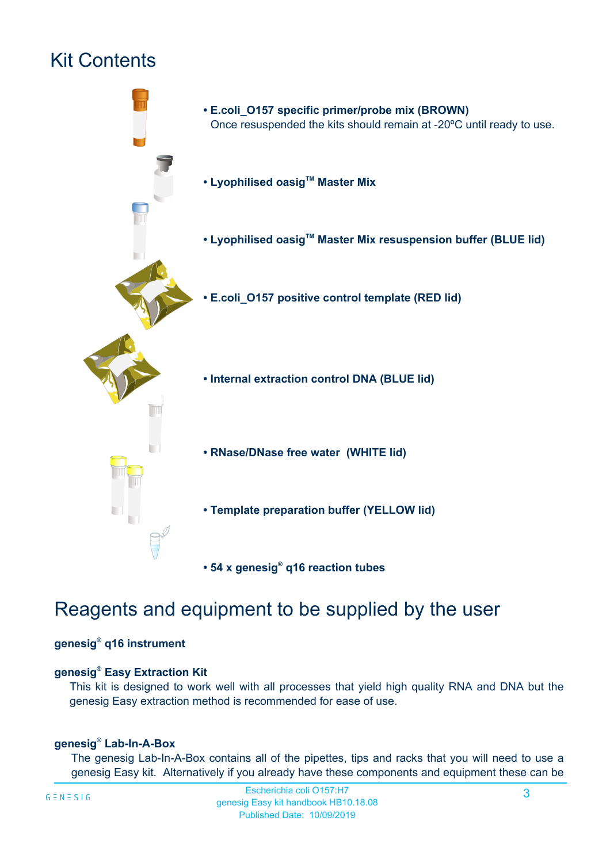## Kit Contents



## Reagents and equipment to be supplied by the user

#### **genesig® q16 instrument**

#### **genesig® Easy Extraction Kit**

This kit is designed to work well with all processes that yield high quality RNA and DNA but the genesig Easy extraction method is recommended for ease of use.

#### **genesig® Lab-In-A-Box**

The genesig Lab-In-A-Box contains all of the pipettes, tips and racks that you will need to use a genesig Easy kit. Alternatively if you already have these components and equipment these can be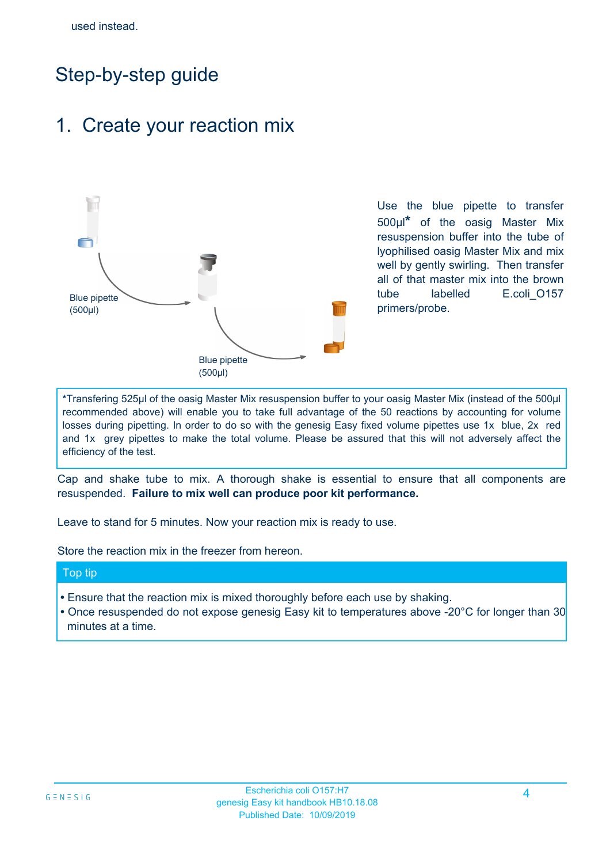## Step-by-step guide

### 1. Create your reaction mix



Use the blue pipette to transfer 500µl**\*** of the oasig Master Mix resuspension buffer into the tube of lyophilised oasig Master Mix and mix well by gently swirling. Then transfer all of that master mix into the brown tube labelled E.coli\_O157 primers/probe.

**\***Transfering 525µl of the oasig Master Mix resuspension buffer to your oasig Master Mix (instead of the 500µl recommended above) will enable you to take full advantage of the 50 reactions by accounting for volume losses during pipetting. In order to do so with the genesig Easy fixed volume pipettes use 1x blue, 2x red and 1x grey pipettes to make the total volume. Please be assured that this will not adversely affect the efficiency of the test.

Cap and shake tube to mix. A thorough shake is essential to ensure that all components are resuspended. **Failure to mix well can produce poor kit performance.**

Leave to stand for 5 minutes. Now your reaction mix is ready to use.

Store the reaction mix in the freezer from hereon.

#### Top tip

- Ensure that the reaction mix is mixed thoroughly before each use by shaking.
- **•** Once resuspended do not expose genesig Easy kit to temperatures above -20°C for longer than 30 minutes at a time.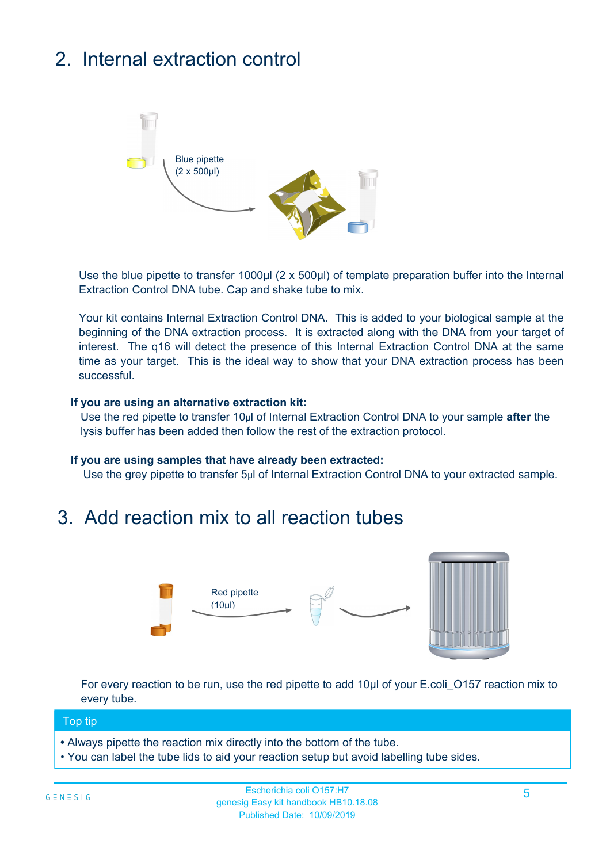# 2. Internal extraction control



Use the blue pipette to transfer 1000µl (2 x 500µl) of template preparation buffer into the Internal Extraction Control DNA tube. Cap and shake tube to mix.

Your kit contains Internal Extraction Control DNA. This is added to your biological sample at the beginning of the DNA extraction process. It is extracted along with the DNA from your target of interest. The q16 will detect the presence of this Internal Extraction Control DNA at the same time as your target. This is the ideal way to show that your DNA extraction process has been successful.

#### **If you are using an alternative extraction kit:**

Use the red pipette to transfer 10µl of Internal Extraction Control DNA to your sample **after** the lysis buffer has been added then follow the rest of the extraction protocol.

#### **If you are using samples that have already been extracted:**

Use the grey pipette to transfer 5µl of Internal Extraction Control DNA to your extracted sample.

### 3. Add reaction mix to all reaction tubes



For every reaction to be run, use the red pipette to add 10µl of your E.coli\_O157 reaction mix to every tube.

#### Top tip

- Always pipette the reaction mix directly into the bottom of the tube.
- You can label the tube lids to aid your reaction setup but avoid labelling tube sides.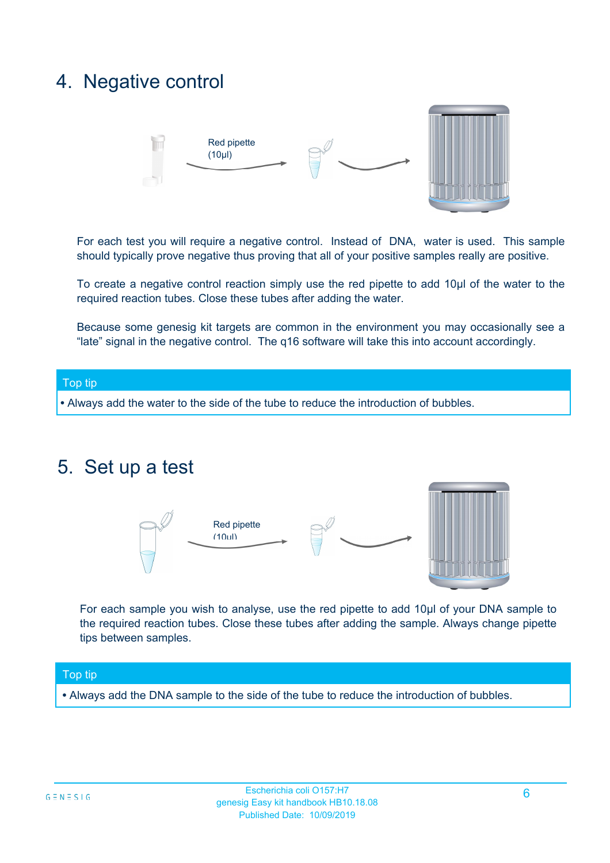## 4. Negative control



For each test you will require a negative control. Instead of DNA, water is used. This sample should typically prove negative thus proving that all of your positive samples really are positive.

To create a negative control reaction simply use the red pipette to add 10µl of the water to the required reaction tubes. Close these tubes after adding the water.

Because some genesig kit targets are common in the environment you may occasionally see a "late" signal in the negative control. The q16 software will take this into account accordingly.

# Top tip

**•** Always add the water to the side of the tube to reduce the introduction of bubbles.

### 5. Set up a test



For each sample you wish to analyse, use the red pipette to add 10µl of your DNA sample to the required reaction tubes. Close these tubes after adding the sample. Always change pipette tips between samples.

#### Top tip

**•** Always add the DNA sample to the side of the tube to reduce the introduction of bubbles.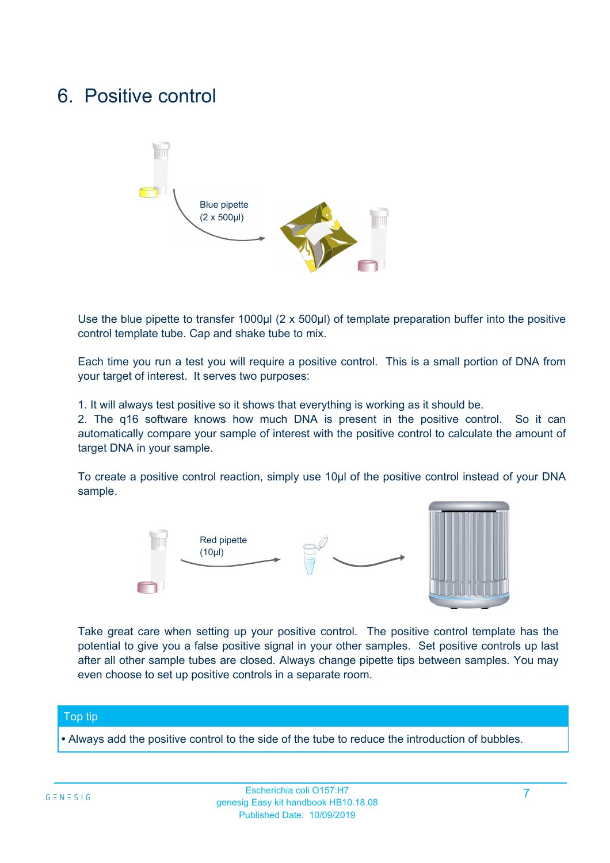## 6. Positive control



Use the blue pipette to transfer 1000µl (2 x 500µl) of template preparation buffer into the positive control template tube. Cap and shake tube to mix.

Each time you run a test you will require a positive control. This is a small portion of DNA from your target of interest. It serves two purposes:

1. It will always test positive so it shows that everything is working as it should be.

2. The q16 software knows how much DNA is present in the positive control. So it can automatically compare your sample of interest with the positive control to calculate the amount of target DNA in your sample.

To create a positive control reaction, simply use 10µl of the positive control instead of your DNA sample.



Take great care when setting up your positive control. The positive control template has the potential to give you a false positive signal in your other samples. Set positive controls up last after all other sample tubes are closed. Always change pipette tips between samples. You may even choose to set up positive controls in a separate room.

#### Top tip

**•** Always add the positive control to the side of the tube to reduce the introduction of bubbles.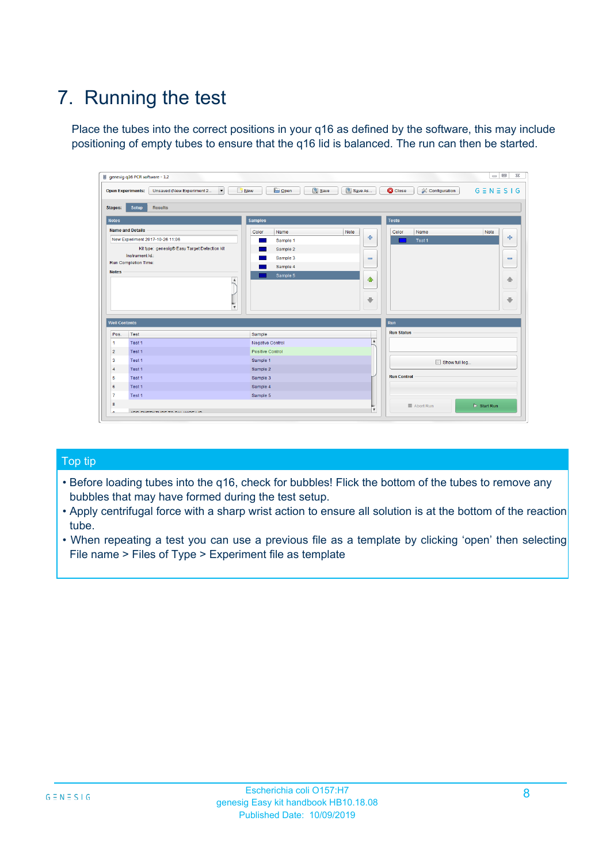## 7. Running the test

Place the tubes into the correct positions in your q16 as defined by the software, this may include positioning of empty tubes to ensure that the q16 lid is balanced. The run can then be started.

|                      | genesig q16 PCR software - 1.2                                               |                                            |                         |                                              | $= 0$<br>$\Sigma\!3$         |
|----------------------|------------------------------------------------------------------------------|--------------------------------------------|-------------------------|----------------------------------------------|------------------------------|
|                      | Unsaved (New Experiment 2<br><b>Open Experiments:</b><br>$\vert \cdot \vert$ | <b>E</b> Open<br>Save<br>$\frac{1}{2}$ New | Save As                 | <b>C</b> Close<br><b>&amp; Configuration</b> | $G \equiv N \equiv S \mid G$ |
| <b>Stages:</b>       | Setup<br><b>Results</b>                                                      |                                            |                         |                                              |                              |
| <b>Notes</b>         |                                                                              | <b>Samples</b>                             |                         | <b>Tests</b>                                 |                              |
|                      | <b>Name and Details</b>                                                      | Color<br>Name                              | Note                    | Color<br>Name                                | Note                         |
|                      | New Experiment 2017-10-26 11:06                                              | Sample 1                                   | ቍ                       | Test 1                                       | ÷                            |
|                      | Kit type: genesig® Easy Target Detection kit                                 | Sample 2                                   |                         |                                              |                              |
|                      | Instrument Id.:                                                              | Sample 3                                   | $=$                     |                                              | $\qquad \qquad \blacksquare$ |
|                      | <b>Run Completion Time:</b>                                                  | Sample 4                                   |                         |                                              |                              |
| <b>Notes</b>         | <b>A</b><br>$\overline{\mathbf{v}}$                                          | Sample 5                                   | ♦<br>÷                  |                                              | 41<br>₩                      |
| <b>Well Contents</b> |                                                                              |                                            |                         | <b>Run</b>                                   |                              |
| Pos.                 | Test                                                                         | Sample                                     |                         | <b>Run Status</b>                            |                              |
| $\blacktriangleleft$ | Test 1                                                                       | <b>Negative Control</b>                    | $\blacktriangle$        |                                              |                              |
| $\overline{2}$       | Test 1                                                                       | Positive Control                           |                         |                                              |                              |
| 3                    | Test 1                                                                       | Sample 1                                   |                         | Show full log                                |                              |
| $\overline{4}$       | Test 1                                                                       | Sample 2                                   |                         |                                              |                              |
| 5                    | Test 1                                                                       | Sample 3                                   |                         | <b>Run Control</b>                           |                              |
|                      | Test 1                                                                       | Sample 4                                   |                         |                                              |                              |
| 6                    |                                                                              |                                            |                         |                                              |                              |
| $\overline{7}$       | Test 1                                                                       | Sample 5                                   |                         |                                              |                              |
| 8                    |                                                                              |                                            | $\overline{\mathbf{v}}$ | Abort Run                                    | $\triangleright$ Start Run   |

#### Top tip

- Before loading tubes into the q16, check for bubbles! Flick the bottom of the tubes to remove any bubbles that may have formed during the test setup.
- Apply centrifugal force with a sharp wrist action to ensure all solution is at the bottom of the reaction tube.
- When repeating a test you can use a previous file as a template by clicking 'open' then selecting File name > Files of Type > Experiment file as template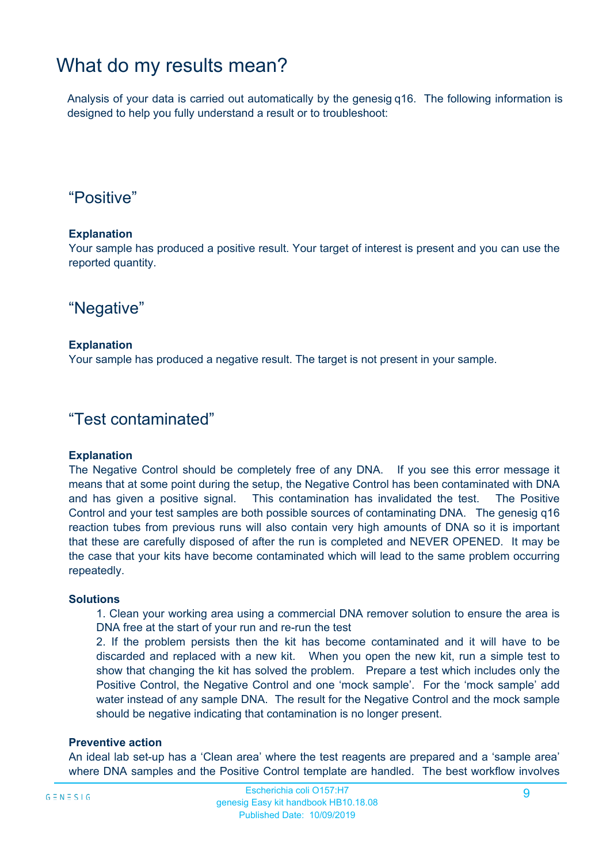### What do my results mean?

Analysis of your data is carried out automatically by the genesig q16. The following information is designed to help you fully understand a result or to troubleshoot:

### "Positive"

#### **Explanation**

Your sample has produced a positive result. Your target of interest is present and you can use the reported quantity.

"Negative"

#### **Explanation**

Your sample has produced a negative result. The target is not present in your sample.

#### "Test contaminated"

#### **Explanation**

The Negative Control should be completely free of any DNA. If you see this error message it means that at some point during the setup, the Negative Control has been contaminated with DNA and has given a positive signal. This contamination has invalidated the test. The Positive Control and your test samples are both possible sources of contaminating DNA. The genesig q16 reaction tubes from previous runs will also contain very high amounts of DNA so it is important that these are carefully disposed of after the run is completed and NEVER OPENED. It may be the case that your kits have become contaminated which will lead to the same problem occurring repeatedly.

#### **Solutions**

1. Clean your working area using a commercial DNA remover solution to ensure the area is DNA free at the start of your run and re-run the test

2. If the problem persists then the kit has become contaminated and it will have to be discarded and replaced with a new kit. When you open the new kit, run a simple test to show that changing the kit has solved the problem. Prepare a test which includes only the Positive Control, the Negative Control and one 'mock sample'. For the 'mock sample' add water instead of any sample DNA. The result for the Negative Control and the mock sample should be negative indicating that contamination is no longer present.

#### **Preventive action**

An ideal lab set-up has a 'Clean area' where the test reagents are prepared and a 'sample area' where DNA samples and the Positive Control template are handled. The best workflow involves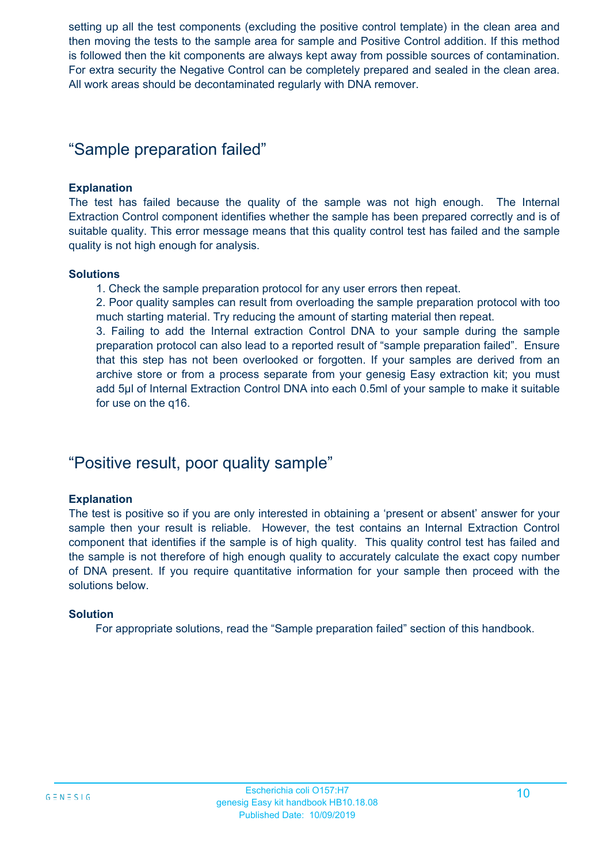setting up all the test components (excluding the positive control template) in the clean area and then moving the tests to the sample area for sample and Positive Control addition. If this method is followed then the kit components are always kept away from possible sources of contamination. For extra security the Negative Control can be completely prepared and sealed in the clean area. All work areas should be decontaminated regularly with DNA remover.

### "Sample preparation failed"

#### **Explanation**

The test has failed because the quality of the sample was not high enough. The Internal Extraction Control component identifies whether the sample has been prepared correctly and is of suitable quality. This error message means that this quality control test has failed and the sample quality is not high enough for analysis.

#### **Solutions**

1. Check the sample preparation protocol for any user errors then repeat.

2. Poor quality samples can result from overloading the sample preparation protocol with too much starting material. Try reducing the amount of starting material then repeat.

3. Failing to add the Internal extraction Control DNA to your sample during the sample preparation protocol can also lead to a reported result of "sample preparation failed". Ensure that this step has not been overlooked or forgotten. If your samples are derived from an archive store or from a process separate from your genesig Easy extraction kit; you must add 5µl of Internal Extraction Control DNA into each 0.5ml of your sample to make it suitable for use on the q16.

### "Positive result, poor quality sample"

#### **Explanation**

The test is positive so if you are only interested in obtaining a 'present or absent' answer for your sample then your result is reliable. However, the test contains an Internal Extraction Control component that identifies if the sample is of high quality. This quality control test has failed and the sample is not therefore of high enough quality to accurately calculate the exact copy number of DNA present. If you require quantitative information for your sample then proceed with the solutions below.

#### **Solution**

For appropriate solutions, read the "Sample preparation failed" section of this handbook.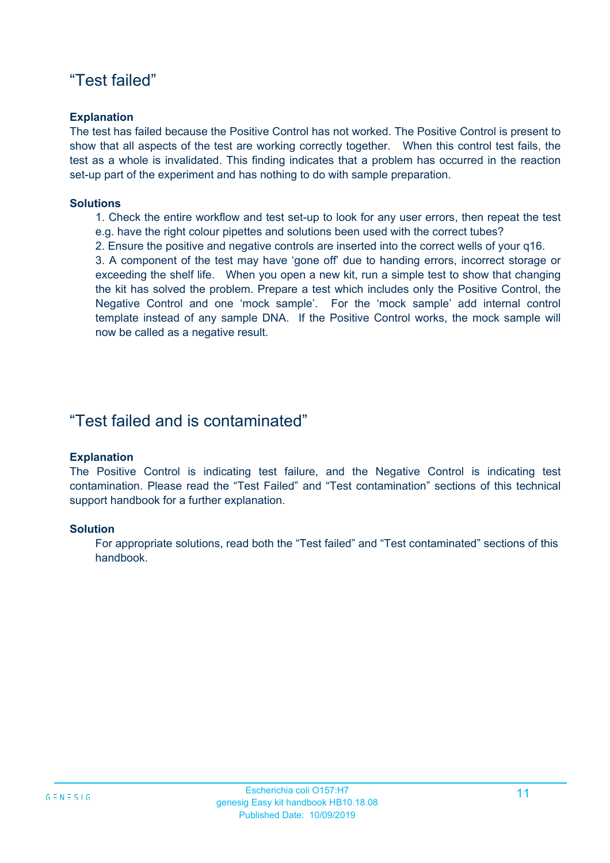### "Test failed"

#### **Explanation**

The test has failed because the Positive Control has not worked. The Positive Control is present to show that all aspects of the test are working correctly together. When this control test fails, the test as a whole is invalidated. This finding indicates that a problem has occurred in the reaction set-up part of the experiment and has nothing to do with sample preparation.

#### **Solutions**

1. Check the entire workflow and test set-up to look for any user errors, then repeat the test e.g. have the right colour pipettes and solutions been used with the correct tubes?

2. Ensure the positive and negative controls are inserted into the correct wells of your q16.

3. A component of the test may have 'gone off' due to handing errors, incorrect storage or exceeding the shelf life. When you open a new kit, run a simple test to show that changing the kit has solved the problem. Prepare a test which includes only the Positive Control, the Negative Control and one 'mock sample'. For the 'mock sample' add internal control template instead of any sample DNA. If the Positive Control works, the mock sample will now be called as a negative result.

### "Test failed and is contaminated"

#### **Explanation**

The Positive Control is indicating test failure, and the Negative Control is indicating test contamination. Please read the "Test Failed" and "Test contamination" sections of this technical support handbook for a further explanation.

#### **Solution**

For appropriate solutions, read both the "Test failed" and "Test contaminated" sections of this handbook.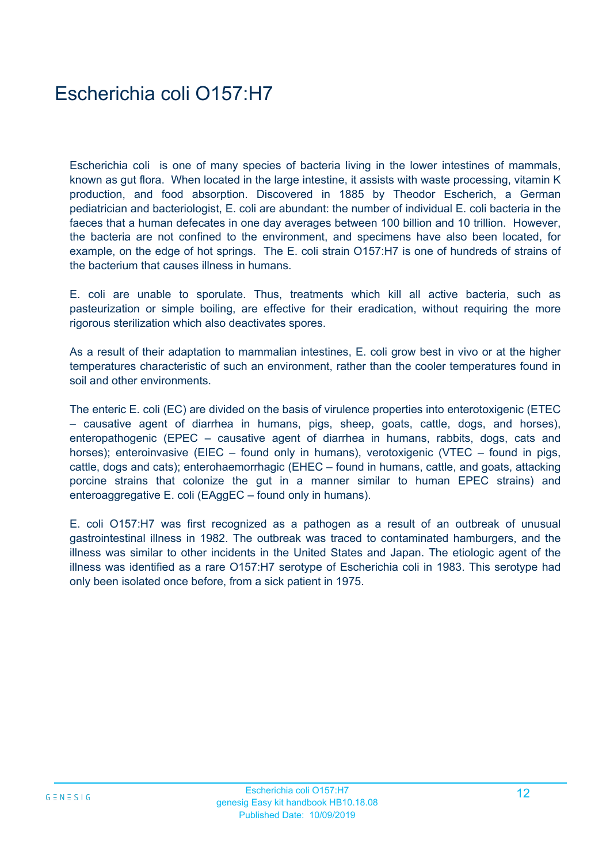## Escherichia coli O157:H7

Escherichia coli is one of many species of bacteria living in the lower intestines of mammals, known as gut flora. When located in the large intestine, it assists with waste processing, vitamin K production, and food absorption. Discovered in 1885 by Theodor Escherich, a German pediatrician and bacteriologist, E. coli are abundant: the number of individual E. coli bacteria in the faeces that a human defecates in one day averages between 100 billion and 10 trillion. However, the bacteria are not confined to the environment, and specimens have also been located, for example, on the edge of hot springs. The E. coli strain O157:H7 is one of hundreds of strains of the bacterium that causes illness in humans.

E. coli are unable to sporulate. Thus, treatments which kill all active bacteria, such as pasteurization or simple boiling, are effective for their eradication, without requiring the more rigorous sterilization which also deactivates spores.

As a result of their adaptation to mammalian intestines, E. coli grow best in vivo or at the higher temperatures characteristic of such an environment, rather than the cooler temperatures found in soil and other environments.

The enteric E. coli (EC) are divided on the basis of virulence properties into enterotoxigenic (ETEC – causative agent of diarrhea in humans, pigs, sheep, goats, cattle, dogs, and horses), enteropathogenic (EPEC – causative agent of diarrhea in humans, rabbits, dogs, cats and horses); enteroinvasive (EIEC – found only in humans), verotoxigenic (VTEC – found in pigs, cattle, dogs and cats); enterohaemorrhagic (EHEC – found in humans, cattle, and goats, attacking porcine strains that colonize the gut in a manner similar to human EPEC strains) and enteroaggregative E. coli (EAggEC – found only in humans).

E. coli O157:H7 was first recognized as a pathogen as a result of an outbreak of unusual gastrointestinal illness in 1982. The outbreak was traced to contaminated hamburgers, and the illness was similar to other incidents in the United States and Japan. The etiologic agent of the illness was identified as a rare O157:H7 serotype of Escherichia coli in 1983. This serotype had only been isolated once before, from a sick patient in 1975.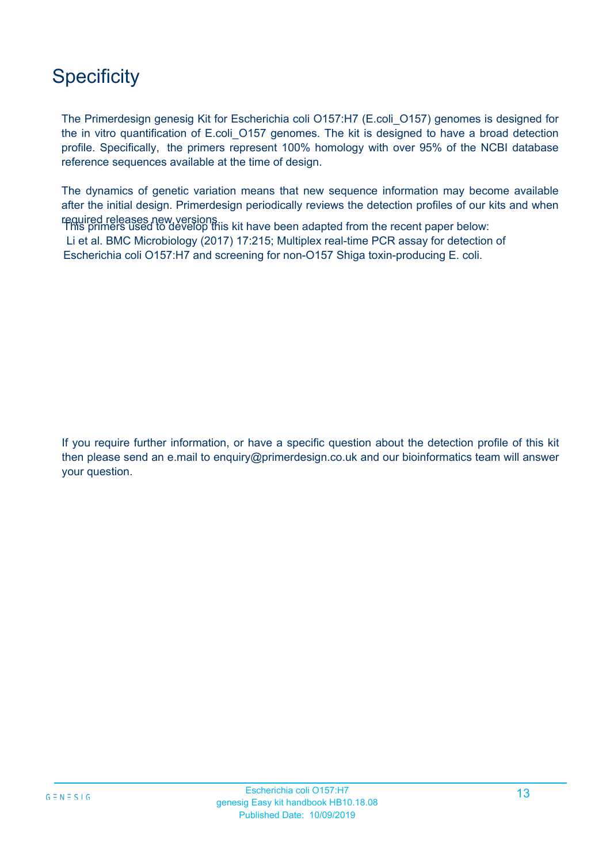## **Specificity**

The Primerdesign genesig Kit for Escherichia coli O157:H7 (E.coli\_O157) genomes is designed for the in vitro quantification of E.coli\_O157 genomes. The kit is designed to have a broad detection profile. Specifically, the primers represent 100% homology with over 95% of the NCBI database reference sequences available at the time of design.

required releases new versions.<br>This primers used to develop this kit have been adapted from the recent paper below: Li et al. BMC Microbiology (2017) 17:215; Multiplex real-time PCR assay for detection of Escherichia coli O157:H7 and screening for non-O157 Shiga toxin-producing E. coli. The dynamics of genetic variation means that new sequence information may become available after the initial design. Primerdesign periodically reviews the detection profiles of our kits and when

If you require further information, or have a specific question about the detection profile of this kit then please send an e.mail to enquiry@primerdesign.co.uk and our bioinformatics team will answer your question.